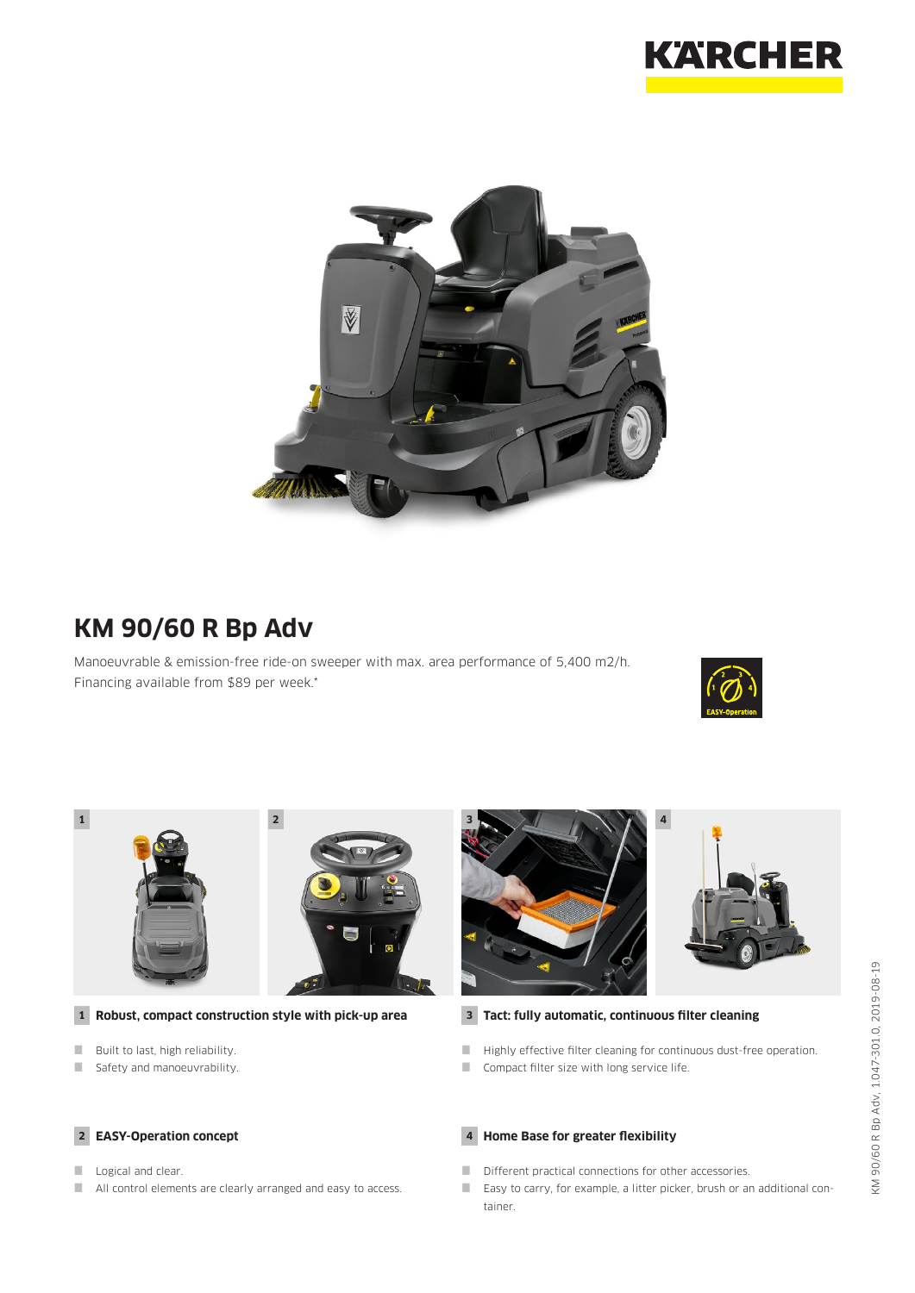



# **KM 90/60 R Bp Adv**

Manoeuvrable & emission-free ride-on sweeper with max. area performance of 5,400 m2/h. Financing available from \$89 per week.\*





#### **1 Robust, compact construction style with pick-up area**

- **Built to last, high reliability.**
- Safety and manoeuvrability.

## **2 EASY-Operation concept**

- Logical and clear.
- All control elements are clearly arranged and easy to access.





## **3 Tact: fully automatic, continuous filter cleaning**

- $\blacksquare$  Highly effective filter cleaning for continuous dust-free operation.
- Compact filter size with long service life.

### **4 Home Base for greater flexibility**

- Different practical connections for other accessories.
- Easy to carry, for example, a litter picker, brush or an additional container.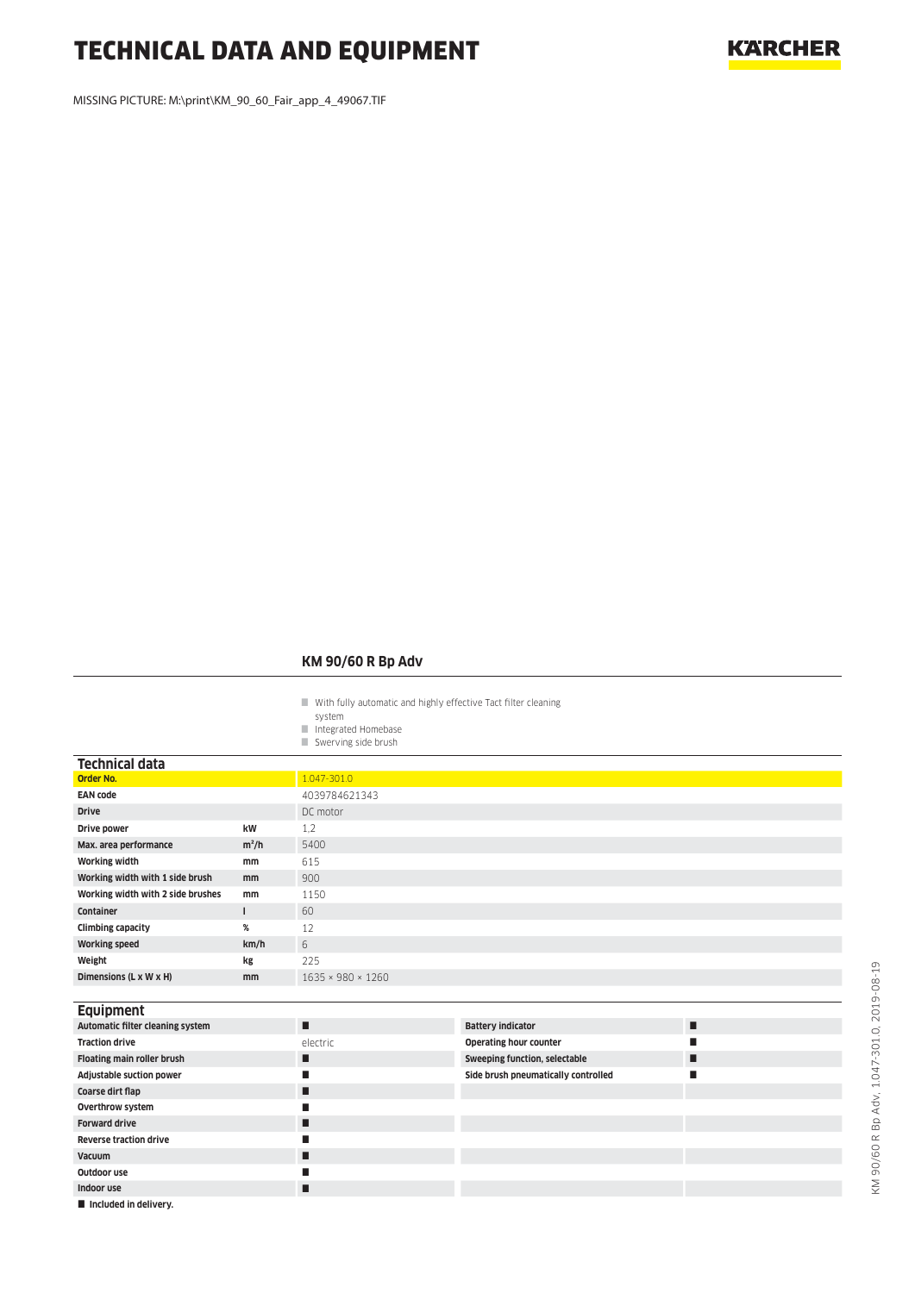# TECHNICAL DATA AND EQUIPMENT

MISSING PICTURE: M:\print\KM\_90\_60\_Fair\_app\_4\_49067.TIF

## **KM 90/60 R Bp Adv**

- With fully automatic and highly effective Tact filter cleaning
- system
- Integrated Homebase Swerving side brush

| <b>Technical data</b>             |              |                   |                                      |   |  |  |  |  |  |
|-----------------------------------|--------------|-------------------|--------------------------------------|---|--|--|--|--|--|
| <b>Order No.</b>                  |              | 1.047-301.0       |                                      |   |  |  |  |  |  |
| <b>EAN code</b>                   |              | 4039784621343     |                                      |   |  |  |  |  |  |
| <b>Drive</b>                      |              | DC motor          |                                      |   |  |  |  |  |  |
| Drive power                       | kW           | 1,2               |                                      |   |  |  |  |  |  |
| Max. area performance             | $m^2/h$      | 5400              |                                      |   |  |  |  |  |  |
| <b>Working width</b>              | mm           | 615               |                                      |   |  |  |  |  |  |
| Working width with 1 side brush   | mm           | 900               |                                      |   |  |  |  |  |  |
| Working width with 2 side brushes | mm           | 1150              |                                      |   |  |  |  |  |  |
| Container                         | $\mathbf{I}$ | 60                |                                      |   |  |  |  |  |  |
| <b>Climbing capacity</b>          | %            | 12                |                                      |   |  |  |  |  |  |
| <b>Working speed</b>              | km/h         | 6                 |                                      |   |  |  |  |  |  |
| Weight                            | kg           | 225               |                                      |   |  |  |  |  |  |
| Dimensions (L x W x H)            | mm           | 1635 × 980 × 1260 |                                      |   |  |  |  |  |  |
|                                   |              |                   |                                      |   |  |  |  |  |  |
| <b>Equipment</b>                  |              |                   |                                      |   |  |  |  |  |  |
| Automatic filter cleaning system  |              | п                 | <b>Battery indicator</b>             | п |  |  |  |  |  |
| <b>Traction drive</b>             |              | electric          | <b>Operating hour counter</b>        | ■ |  |  |  |  |  |
| Floating main roller brush        |              | п                 | <b>Sweeping function, selectable</b> | п |  |  |  |  |  |
| Adjustable suction power          |              | п                 | Side brush pneumatically controlled  | ш |  |  |  |  |  |
| Coarse dirt flap                  |              | п                 |                                      |   |  |  |  |  |  |
| Overthrow system                  |              | п                 |                                      |   |  |  |  |  |  |
| <b>Forward drive</b>              |              | п                 |                                      |   |  |  |  |  |  |
| <b>Reverse traction drive</b>     |              | п                 |                                      |   |  |  |  |  |  |
| Vacuum                            |              | п                 |                                      |   |  |  |  |  |  |
| Outdoor use                       |              | п                 |                                      |   |  |  |  |  |  |
| Indoor use                        |              | п                 |                                      |   |  |  |  |  |  |

 $\blacksquare$  Included in delivery.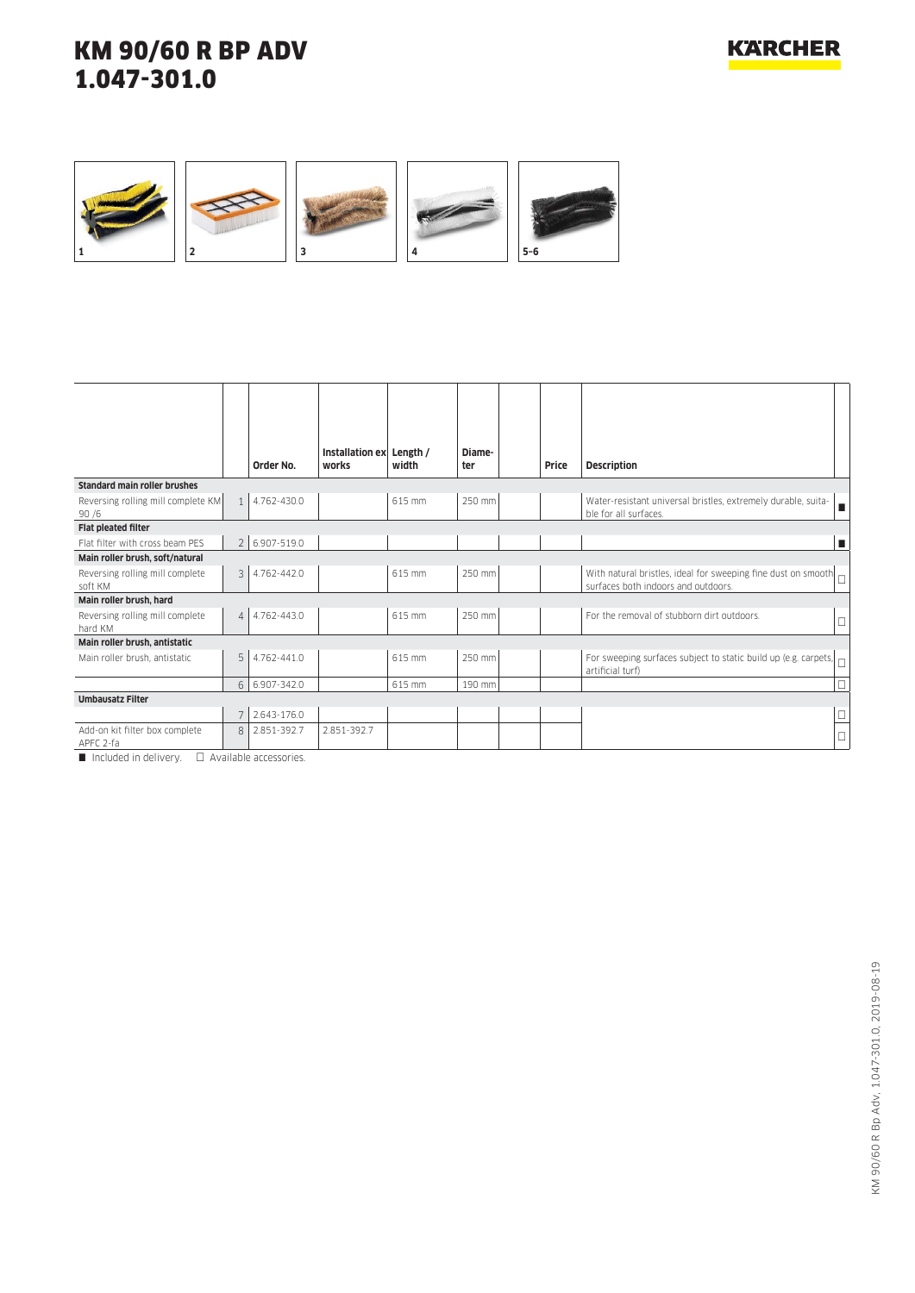

|                                             |                | Order No.     | Installation ex Length /<br>works | width  | Diame-<br>ter | Price | <b>Description</b>                                                                                   |
|---------------------------------------------|----------------|---------------|-----------------------------------|--------|---------------|-------|------------------------------------------------------------------------------------------------------|
| <b>Standard main roller brushes</b>         |                |               |                                   |        |               |       |                                                                                                      |
| Reversing rolling mill complete KM<br>90/6  | $\mathbf{1}$   | 4.762-430.0   |                                   | 615 mm | 250 mm        |       | Water-resistant universal bristles, extremely durable, suita-<br>п<br>ble for all surfaces.          |
| <b>Flat pleated filter</b>                  |                |               |                                   |        |               |       |                                                                                                      |
| Flat filter with cross beam PFS             |                | 2 6.907-519.0 |                                   |        |               |       | п                                                                                                    |
| Main roller brush, soft/natural             |                |               |                                   |        |               |       |                                                                                                      |
| Reversing rolling mill complete<br>soft KM  | 3              | 4.762-442.0   |                                   | 615 mm | 250 mm        |       | With natural bristles, ideal for sweeping fine dust on smooth<br>surfaces both indoors and outdoors. |
| Main roller brush, hard                     |                |               |                                   |        |               |       |                                                                                                      |
| Reversing rolling mill complete<br>hard KM  | $\overline{4}$ | 4.762-443.0   |                                   | 615 mm | 250 mm        |       | For the removal of stubborn dirt outdoors.<br>$\Box$                                                 |
| Main roller brush, antistatic               |                |               |                                   |        |               |       |                                                                                                      |
| Main roller brush, antistatic               | 5              | 4.762-441.0   |                                   | 615 mm | 250 mm        |       | For sweeping surfaces subject to static build up (e.g. carpets, $\Box$<br>artificial turf)           |
|                                             | 6              | 6.907-342.0   |                                   | 615 mm | 190 mm        |       | $\Box$                                                                                               |
| <b>Umbausatz Filter</b>                     |                |               |                                   |        |               |       |                                                                                                      |
|                                             |                | 2.643-176.0   |                                   |        |               |       | $\Box$                                                                                               |
| Add-on kit filter box complete<br>APFC 2-fa | 8              | 2.851-392.7   | 2.851-392.7                       |        |               |       | $\Box$                                                                                               |

 $\Box$  Included in delivery.  $\Box$  Available accessories.

**KARCHER**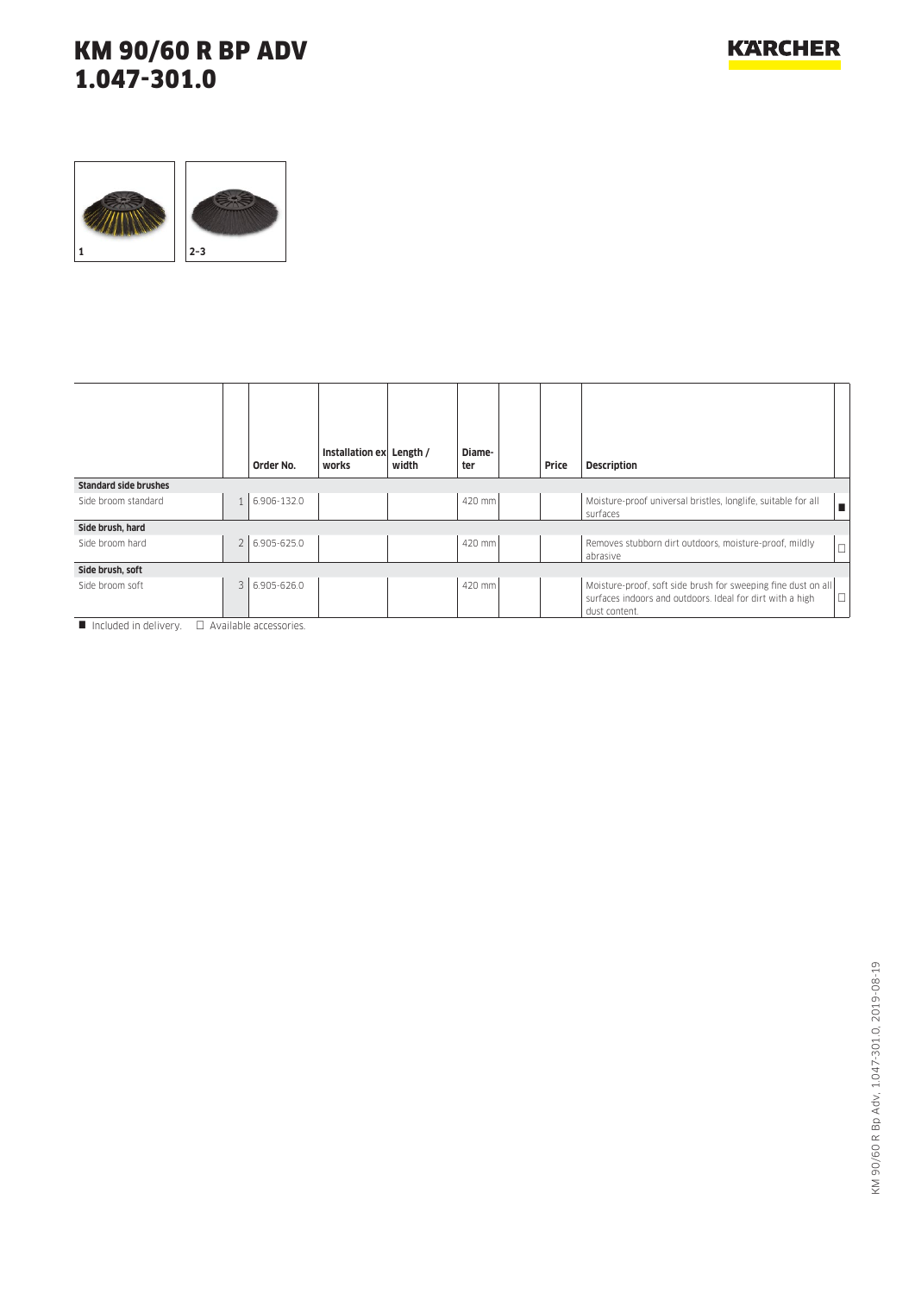## **KARCHER**

# KM 90/60 R BP ADV 1.047-301.0



|                              | Order No.     | Installation ex Length /<br>works | width | Diame-<br>ter | Price | <b>Description</b>                                                                                                                          |  |
|------------------------------|---------------|-----------------------------------|-------|---------------|-------|---------------------------------------------------------------------------------------------------------------------------------------------|--|
| <b>Standard side brushes</b> |               |                                   |       |               |       |                                                                                                                                             |  |
| Side broom standard          | 1 6.906-132.0 |                                   |       | 420 mm        |       | Moisture-proof universal bristles, longlife, suitable for all<br>surfaces                                                                   |  |
| Side brush, hard             |               |                                   |       |               |       |                                                                                                                                             |  |
| Side broom hard              | 2 6.905-625.0 |                                   |       | 420 mm        |       | Removes stubborn dirt outdoors, moisture-proof, mildly<br>abrasive                                                                          |  |
| Side brush, soft             |               |                                   |       |               |       |                                                                                                                                             |  |
| Side broom soft<br>.         | 3 6.905-626.0 |                                   |       | 420 mm        |       | Moisture-proof, soft side brush for sweeping fine dust on all<br>surfaces indoors and outdoors. Ideal for dirt with a high<br>dust content. |  |

 $\blacksquare$  Included in delivery.  $\square$  Available accessories.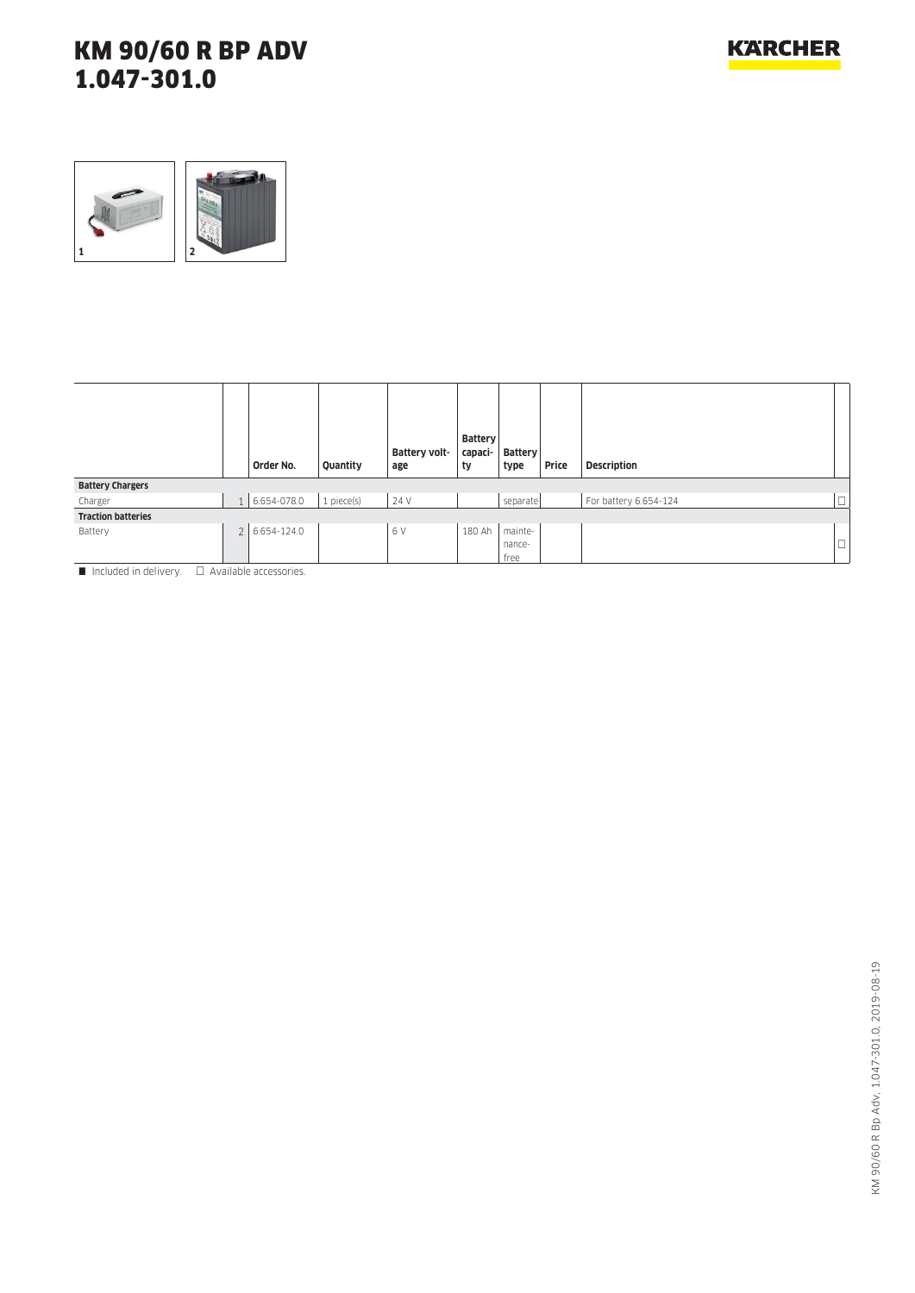

|                           |                | Order No.     | Quantity   | Battery volt-<br>age | <b>Battery</b><br>capaci-<br>ty | Battery<br>type | Price | <b>Description</b>    |        |
|---------------------------|----------------|---------------|------------|----------------------|---------------------------------|-----------------|-------|-----------------------|--------|
| <b>Battery Chargers</b>   |                |               |            |                      |                                 |                 |       |                       |        |
| Charger                   |                | 1 6.654-078.0 | 1 piece(s) | 24 V                 |                                 | separate        |       | For battery 6.654-124 | $\Box$ |
| <b>Traction batteries</b> |                |               |            |                      |                                 |                 |       |                       |        |
| Battery                   | 2 <sup>1</sup> | 6.654-124.0   |            | 6V                   | 180 Ah                          | mainte-         |       |                       |        |
|                           |                |               |            |                      |                                 | nance-          |       |                       | $\Box$ |
|                           |                |               |            |                      |                                 | free            |       |                       |        |

 $\blacksquare$  Included in delivery.  $\Box$  Available accessories.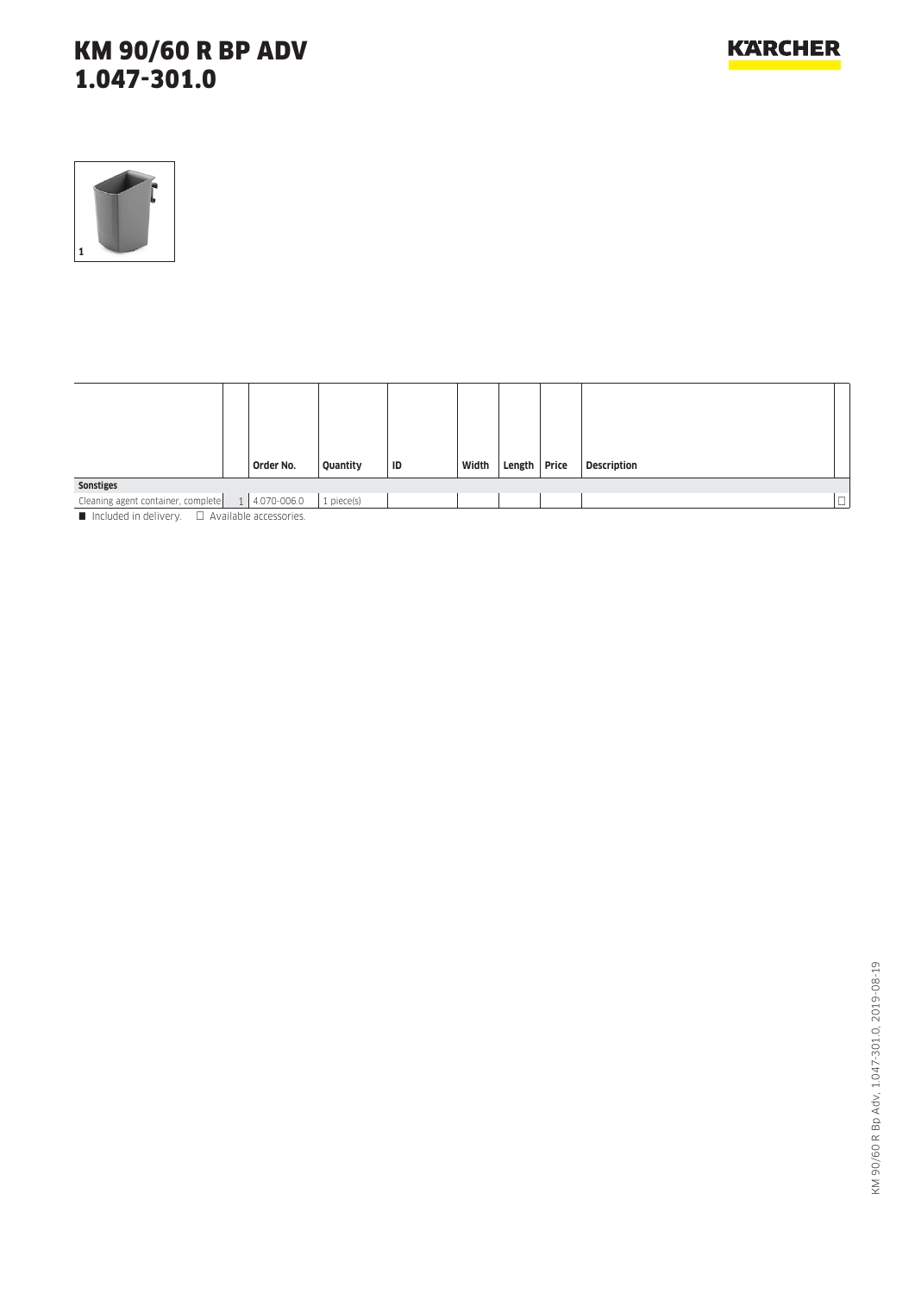

| Order No. | Quantity                                                                                                                                                                                                                       | ID                                                                                      | Width |  | <b>Description</b> |        |
|-----------|--------------------------------------------------------------------------------------------------------------------------------------------------------------------------------------------------------------------------------|-----------------------------------------------------------------------------------------|-------|--|--------------------|--------|
|           |                                                                                                                                                                                                                                |                                                                                         |       |  |                    |        |
|           | 1 piece(s)                                                                                                                                                                                                                     |                                                                                         |       |  |                    | $\Box$ |
|           | The contract of the state of the contract of the contract of the contract of the contract of the contract of the contract of the contract of the contract of the contract of the contract of the contract of the contract of t | Cleaning agent container, complete $\begin{array}{ c c } 1 & 4.070 - 006.0 \end{array}$ |       |  | Length Price       |        |

 $\blacksquare$  Included in delivery.  $\Box$  Available accessories.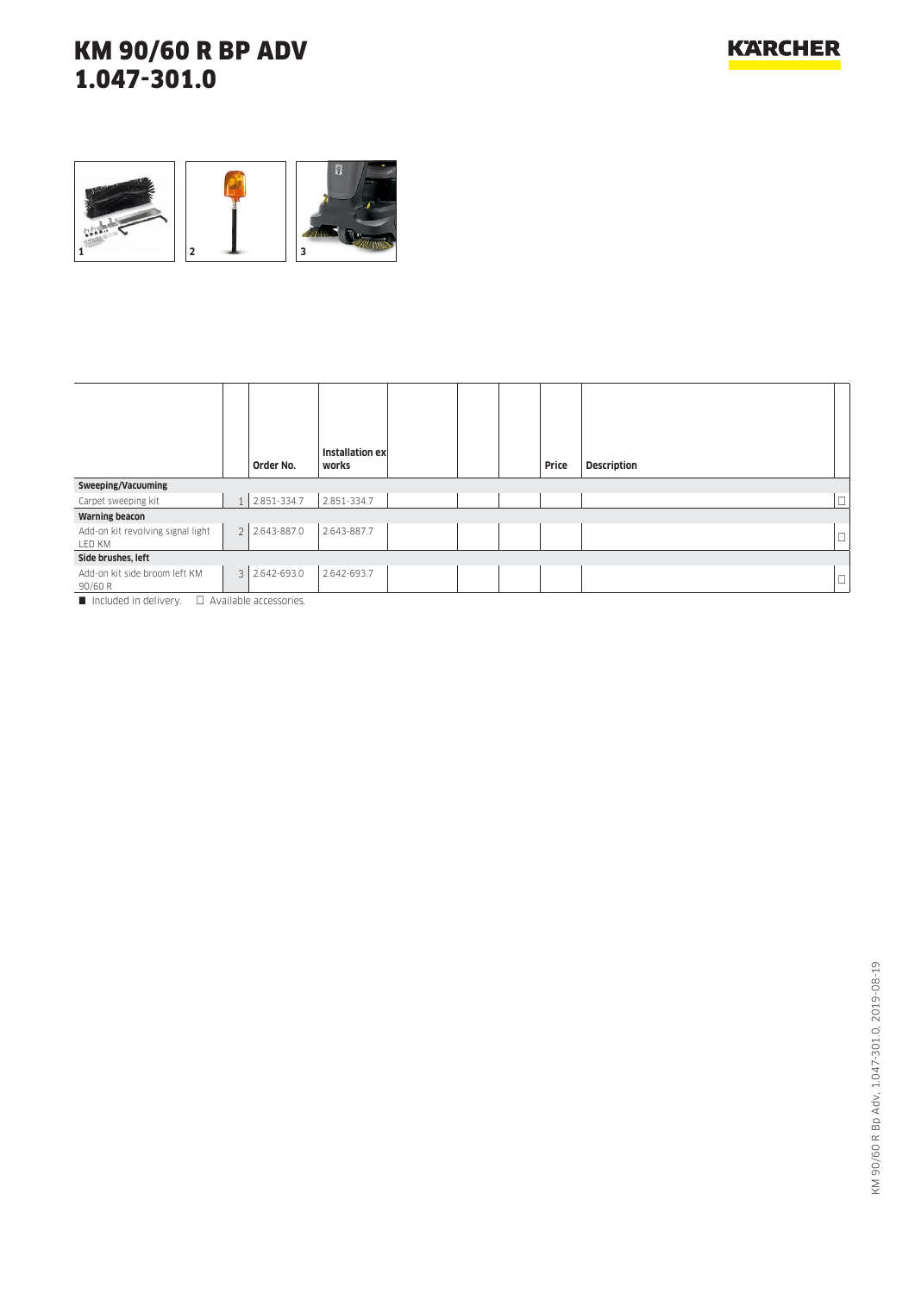

| Order No. |                                                                                                                                                |       |                 | Price |             |
|-----------|------------------------------------------------------------------------------------------------------------------------------------------------|-------|-----------------|-------|-------------|
|           |                                                                                                                                                |       |                 |       |             |
|           | 2.851-334.7                                                                                                                                    |       |                 |       | □           |
|           |                                                                                                                                                |       |                 |       |             |
|           | 2.643-887.7                                                                                                                                    |       |                 |       |             |
|           |                                                                                                                                                |       |                 |       |             |
|           | 2.642-693.7                                                                                                                                    |       |                 |       | L.          |
|           | 1 2.851-334.7<br>2 2.643-887.0<br>3 2.642-693.0<br>$\blacksquare$ the distribution definition of $\blacksquare$ . A contradict a concentration | works | Installation ex |       | Description |

Included in delivery.  $\Box$  Available accessories.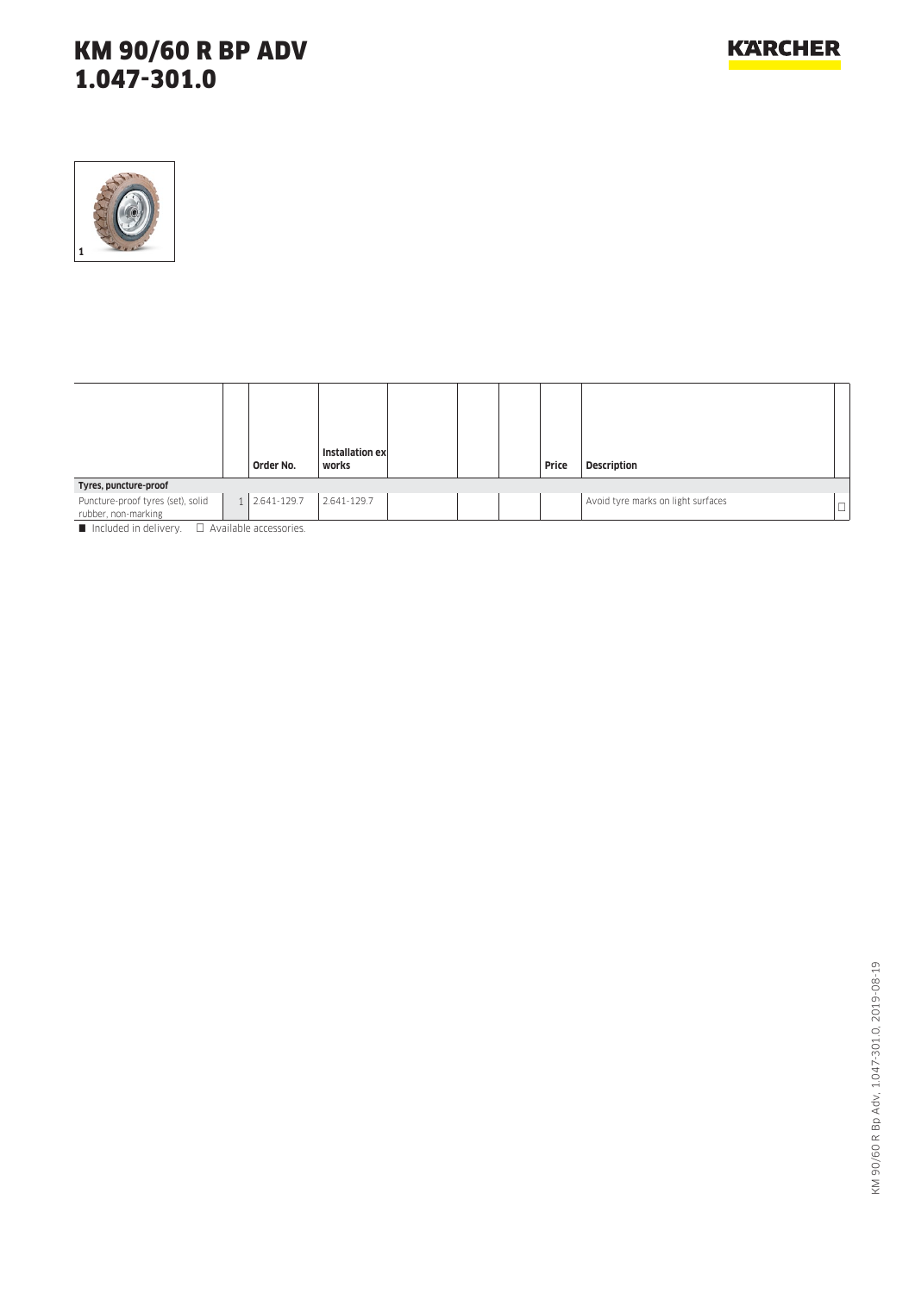

|                                                                          |                |             | Installation ex |  |       |                                    |        |
|--------------------------------------------------------------------------|----------------|-------------|-----------------|--|-------|------------------------------------|--------|
|                                                                          |                | Order No.   | works           |  | Price | <b>Description</b>                 |        |
| Tyres, puncture-proof                                                    |                |             |                 |  |       |                                    |        |
| Puncture-proof tyres (set), solid<br>rubber, non-marking                 | 1 <sup>1</sup> | 2.641-129.7 | 2.641-129.7     |  |       | Avoid tyre marks on light surfaces | $\Box$ |
| $\blacksquare$ Included in delivery $\blacksquare$ Available accessories |                |             |                 |  |       |                                    |        |

 $I$ icluded in delivery.  $\Box$  Available accessories